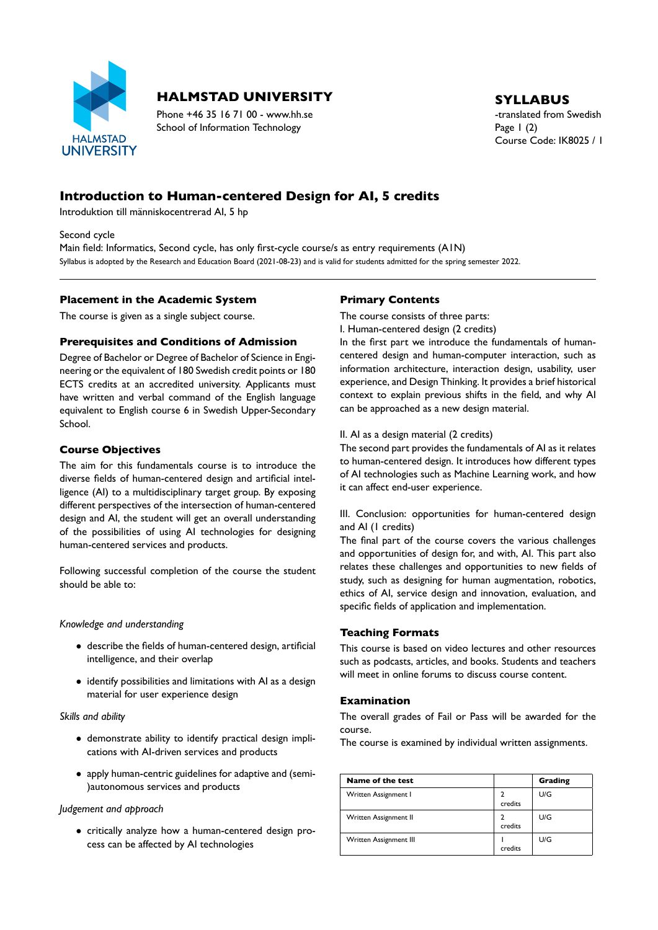

# **HALMSTAD UNIVERSITY** SYLLABUS

Phone +46 35 16 71 00 - www.hh.se the translated from Swedish School of Information Technology Page 1 (2)

Course Code: IK8025 / 1

## **Introduction to Human-centered Design for AI, 5 credits**

Introduktion till människocentrerad AI, 5 hp

Second cycle

Main field: Informatics, Second cycle, has only first-cycle course/s as entry requirements (A1N) Syllabus is adopted by the Research and Education Board (2021-08-23) and is valid for students admitted for the spring semester 2022.

### **Placement in the Academic System**

The course is given as a single subject course.

### **Prerequisites and Conditions of Admission**

Degree of Bachelor or Degree of Bachelor of Science in Engi neering or the equivalent of 180 Swedish credit points or 180 ECTS credits at an accredited university. Applicants must have written and verbal command of the English language equivalent to English course 6 in Swedish Upper-Secondary School.

### **Course Objectives**

The aim for this fundamentals course is to introduce the diverse fields of human-centered design and artificial intelligence (AI) to a multidisciplinary target group. By exposing different perspectives of the intersection of human-centered design and AI, the student will get an overall understanding of the possibilities of using AI technologies for designing human-centered services and products.

Following successful completion of the course the student should be able to:

#### *Knowledge and understanding*

- $\bullet$  describe the fields of human-centered design, artificial intelligence, and their overlap
- identify possibilities and limitations with AI as a design material for user experience design

#### *Skills and ability*

- demonstrate ability to identify practical design impli cations with AI-driven services and products
- apply human-centric guidelines for adaptive and (semi-)autonomous services and products

#### *Judgement and approach*

• critically analyze how a human-centered design process can be affected by AI technologies

## **Primary Contents**

The course consists of three parts: I. Human-centered design (2 credits)

In the first part we introduce the fundamentals of humancentered design and human-computer interaction, such as information architecture, interaction design, usability, user experience, and Design Thinking. It provides a brief historical context to explain previous shifts in the field, and why AI can be approached as a new design material.

## II. AI as a design material (2 credits)

The second part provides the fundamentals of AI as it relates to human-centered design. It introduces how different types of AI technologies such as Machine Learning work, and how it can affect end-user experience.

III. Conclusion: opportunities for human-centered design and AI (1 credits)

The final part of the course covers the various challenges and opportunities of design for, and with, AI. This part also relates these challenges and opportunities to new fields of study, such as designing for human augmentation, robotics, ethics of AI, service design and innovation, evaluation, and specific fields of application and implementation.

#### **Teaching Formats**

This course is based on video lectures and other resources such as podcasts, articles, and books. Students and teachers will meet in online forums to discuss course content.

#### **Examination**

The overall grades of Fail or Pass will be awarded for the course.

The course is examined by individual written assignments.

| Name of the test       |         | Grading |
|------------------------|---------|---------|
| Written Assignment I   | credits | U/G     |
| Written Assignment II  | credits | U/G     |
| Written Assignment III | credits | U/G     |